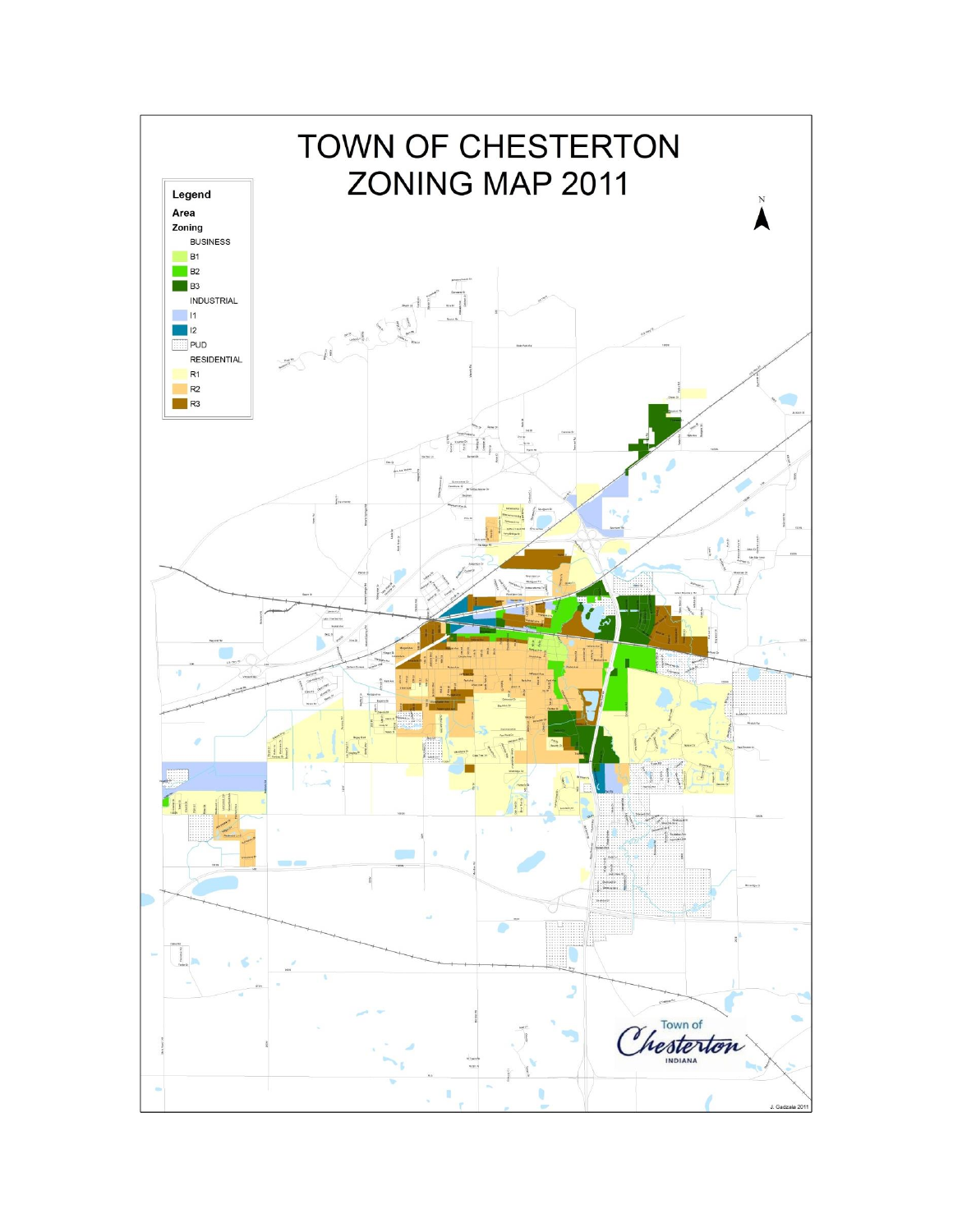